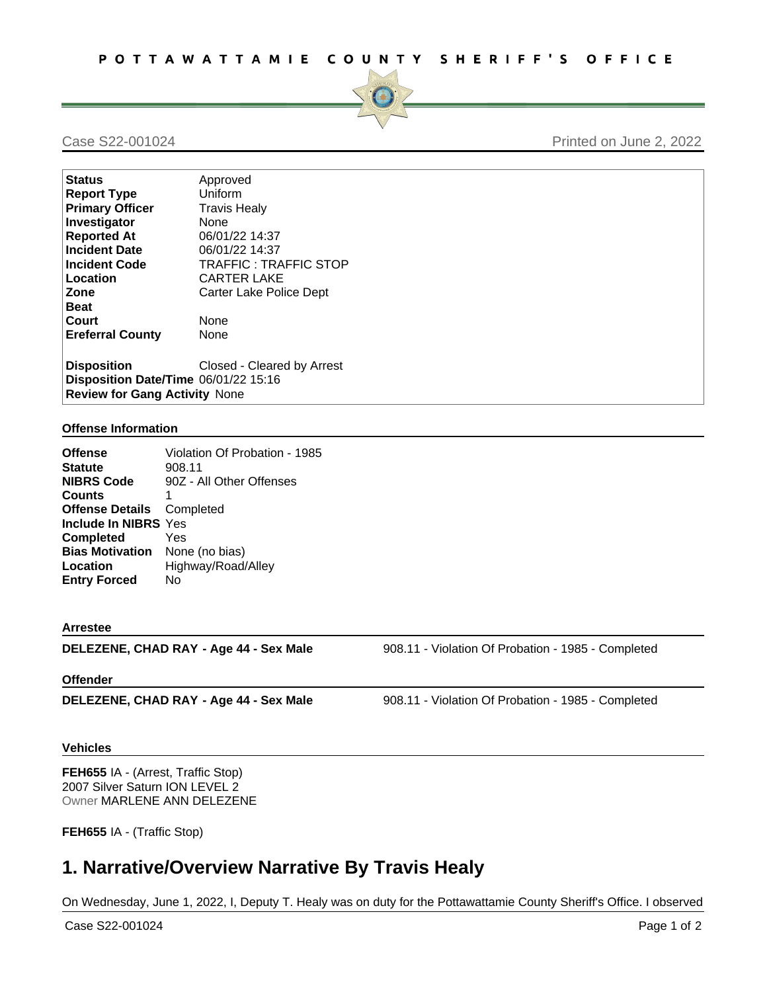

Case S22-001024 Printed on June 2, 2022

| <b>Status</b>                        | Approved                   |  |
|--------------------------------------|----------------------------|--|
| <b>Report Type</b>                   | Uniform                    |  |
| <b>Primary Officer</b>               | <b>Travis Healy</b>        |  |
| Investigator                         | None                       |  |
| <b>Reported At</b>                   | 06/01/22 14:37             |  |
| <b>Incident Date</b>                 | 06/01/22 14:37             |  |
| <b>Incident Code</b>                 | TRAFFIC: TRAFFIC STOP      |  |
| Location                             | <b>CARTER LAKE</b>         |  |
| Zone                                 | Carter Lake Police Dept    |  |
| <b>Beat</b>                          |                            |  |
| Court                                | None                       |  |
| <b>Ereferral County</b>              | None                       |  |
| <b>Disposition</b>                   | Closed - Cleared by Arrest |  |
| Disposition Date/Time 06/01/22 15:16 |                            |  |
| <b>Review for Gang Activity None</b> |                            |  |

## **Offense Information**

| <b>Offense</b>                   | Violation Of Probation - 1985 |
|----------------------------------|-------------------------------|
| <b>Statute</b>                   | 908.11                        |
| <b>NIBRS Code</b>                | 90Z - All Other Offenses      |
| <b>Counts</b>                    | 1                             |
| <b>Offense Details</b> Completed |                               |
| Include In NIBRS Yes             |                               |
| <b>Completed</b>                 | Yes                           |
| <b>Bias Motivation</b>           | None (no bias)                |
| Location                         | Highway/Road/Alley            |
| <b>Entry Forced</b>              | No                            |

## **Arrestee**

**DELEZENE, CHAD RAY - Age 44 - Sex Male** 908.11 - Violation Of Probation - 1985 - Completed

## **Offender**

**DELEZENE, CHAD RAY - Age 44 - Sex Male** 908.11 - Violation Of Probation - 1985 - Completed

## **Vehicles**

**FEH655** IA - (Arrest, Traffic Stop) 2007 Silver Saturn ION LEVEL 2 Owner MARLENE ANN DELEZENE

**FEH655** IA - (Traffic Stop)

# **1. Narrative/Overview Narrative By Travis Healy**

On Wednesday, June 1, 2022, I, Deputy T. Healy was on duty for the Pottawattamie County Sheriff's Office. I observed